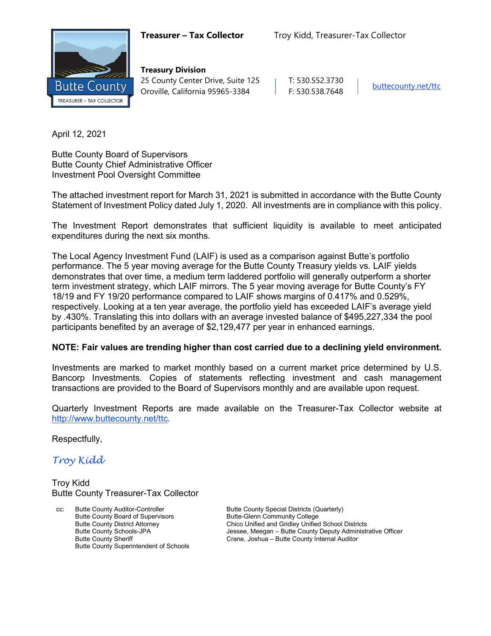

**Treasury Division** 25 County Center Drive, Suite 125 | T: 530.552.3730 Oroville, California 95965-3384 F: 530.538.7648 [buttecounty.net/t](http://www.buttecounty.net/administration)tc

April 12, 2021

Butte County Board of Supervisors Butte County Chief Administrative Officer Investment Pool Oversight Committee

The attached investment report for March 31, 2021 is submitted in accordance with the Butte County Statement of Investment Policy dated July 1, 2020. All investments are in compliance with this policy.

The Investment Report demonstrates that sufficient liquidity is available to meet anticipated expenditures during the next six months.

The Local Agency Investment Fund (LAIF) is used as a comparison against Butte's portfolio performance. The 5 year moving average for the Butte County Treasury yields vs. LAIF yields demonstrates that over time, a medium term laddered portfolio will generally outperform a shorter term investment strategy, which LAIF mirrors. The 5 year moving average for Butte County's FY 18/19 and FY 19/20 performance compared to LAIF shows margins of 0.417% and 0.529%, respectively. Looking at a ten year average, the portfolio yield has exceeded LAIF's average yield by .430%. Translating this into dollars with an average invested balance of \$495,227,334 the pool participants benefited by an average of \$2,129,477 per year in enhanced earnings.

#### **NOTE: Fair values are trending higher than cost carried due to a declining yield environment.**

Investments are marked to market monthly based on a current market price determined by U.S. Bancorp Investments. Copies of statements reflecting investment and cash management transactions are provided to the Board of Supervisors monthly and are available upon request.

Quarterly Investment Reports are made available on the Treasurer-Tax Collector website at <http://www.buttecounty.net/ttc>.

Respectfully,

*Troy Kidd*

Troy Kidd Butte County Treasurer-Tax Collector

cc: Butte County Auditor-Controller Butte County Special Districts (Quarterly) Butte County Board of Supervisors<br>
Butte County District Attorney<br>
Chico Unified and Gridley Unified Butte County Superintendent of Schools

Chico Unified and Gridley Unified School Districts Butte County Schools-JPA<br>
Butte County Sheriff The County Sheriff County Sheriff and The Crane, Joshua – Butte County Internal Auditor Crane, Joshua – Butte County Internal Auditor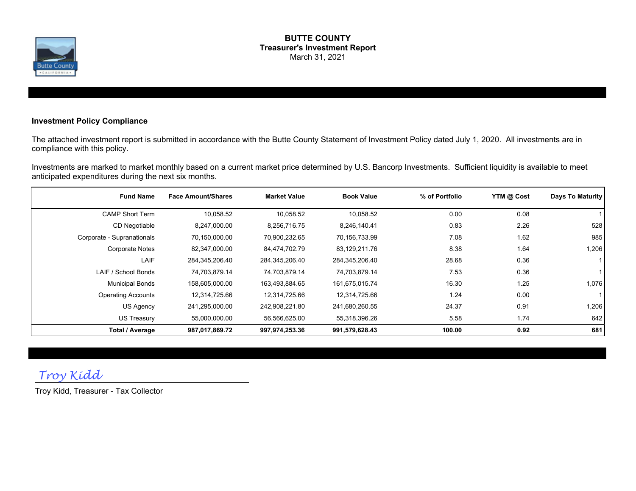

#### **BUTTE COUNTY Treasurer's Investment Report** March 31, 2021

#### **Investment Policy Compliance**

The attached investment report is submitted in accordance with the Butte County Statement of Investment Policy dated July 1, 2020. All investments are in compliance with this policy.

Investments are marked to market monthly based on a current market price determined by U.S. Bancorp Investments. Sufficient liquidity is available to meet anticipated expenditures during the next six months.

| <b>Fund Name</b>           | <b>Face Amount/Shares</b> | <b>Market Value</b> | <b>Book Value</b> | % of Portfolio | YTM @ Cost | Days To Maturity |
|----------------------------|---------------------------|---------------------|-------------------|----------------|------------|------------------|
| <b>CAMP Short Term</b>     | 10,058.52                 | 10,058.52           | 10,058.52         | 0.00           | 0.08       |                  |
| CD Negotiable              | 8,247,000.00              | 8,256,716.75        | 8,246,140.41      | 0.83           | 2.26       | 528              |
| Corporate - Supranationals | 70,150,000.00             | 70,900,232.65       | 70,156,733.99     | 7.08           | 1.62       | 985              |
| <b>Corporate Notes</b>     | 82,347,000.00             | 84,474,702.79       | 83,129,211.76     | 8.38           | 1.64       | 1,206            |
| LAIF                       | 284,345,206.40            | 284,345,206.40      | 284,345,206.40    | 28.68          | 0.36       |                  |
| LAIF / School Bonds        | 74,703,879.14             | 74,703,879.14       | 74,703,879.14     | 7.53           | 0.36       |                  |
| <b>Municipal Bonds</b>     | 158,605,000.00            | 163,493,884.65      | 161,675,015.74    | 16.30          | 1.25       | 1,076            |
| <b>Operating Accounts</b>  | 12,314,725.66             | 12,314,725.66       | 12,314,725.66     | 1.24           | 0.00       |                  |
| US Agency                  | 241,295,000.00            | 242,908,221.80      | 241,680,260.55    | 24.37          | 0.91       | 1,206            |
| US Treasury                | 55,000,000.00             | 56,566,625.00       | 55,318,396.26     | 5.58           | 1.74       | 642              |
| <b>Total / Average</b>     | 987,017,869.72            | 997,974,253.36      | 991,579,628.43    | 100.00         | 0.92       | 681              |

### *Troy Kidd*

Troy Kidd, Treasurer - Tax Collector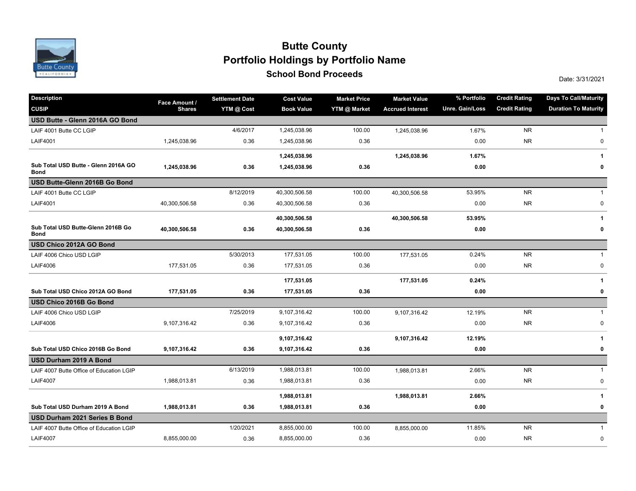

### **School Bond Proceeds School Bond Proceeds Portfolio Holdings by Portfolio Name Butte County**

| <b>Description</b>                                  | Face Amount / | <b>Settlement Date</b> | <b>Cost Value</b> | <b>Market Price</b> | <b>Market Value</b>     | % Portfolio     | <b>Credit Rating</b> | <b>Days To Call/Maturity</b> |
|-----------------------------------------------------|---------------|------------------------|-------------------|---------------------|-------------------------|-----------------|----------------------|------------------------------|
| <b>CUSIP</b>                                        | <b>Shares</b> | YTM @ Cost             | <b>Book Value</b> | YTM @ Market        | <b>Accrued Interest</b> | Unre. Gain/Loss | <b>Credit Rating</b> | <b>Duration To Maturity</b>  |
| USD Butte - Glenn 2016A GO Bond                     |               |                        |                   |                     |                         |                 |                      |                              |
| LAIF 4001 Butte CC LGIP                             |               | 4/6/2017               | 1,245,038.96      | 100.00              | 1,245,038.96            | 1.67%           | <b>NR</b>            | -1                           |
| <b>LAIF4001</b>                                     | 1,245,038.96  | 0.36                   | 1,245,038.96      | 0.36                |                         | 0.00            | <b>NR</b>            | $\pmb{0}$                    |
|                                                     |               |                        | 1,245,038.96      |                     | 1,245,038.96            | 1.67%           |                      | 1                            |
| Sub Total USD Butte - Glenn 2016A GO<br><b>Bond</b> | 1,245,038.96  | 0.36                   | 1,245,038.96      | 0.36                |                         | 0.00            |                      | 0                            |
| USD Butte-Glenn 2016B Go Bond                       |               |                        |                   |                     |                         |                 |                      |                              |
| LAIF 4001 Butte CC LGIP                             |               | 8/12/2019              | 40,300,506.58     | 100.00              | 40,300,506.58           | 53.95%          | <b>NR</b>            | $\mathbf{1}$                 |
| <b>LAIF4001</b>                                     | 40,300,506.58 | 0.36                   | 40,300,506.58     | 0.36                |                         | 0.00            | <b>NR</b>            | 0                            |
|                                                     |               |                        | 40,300,506.58     |                     | 40,300,506.58           | 53.95%          |                      | 1                            |
| Sub Total USD Butte-Glenn 2016B Go<br><b>Bond</b>   | 40,300,506.58 | 0.36                   | 40,300,506.58     | 0.36                |                         | 0.00            |                      | 0                            |
| USD Chico 2012A GO Bond                             |               |                        |                   |                     |                         |                 |                      |                              |
| LAIF 4006 Chico USD LGIP                            |               | 5/30/2013              | 177,531.05        | 100.00              | 177,531.05              | 0.24%           | <b>NR</b>            | $\mathbf{1}$                 |
| <b>LAIF4006</b>                                     | 177,531.05    | 0.36                   | 177,531.05        | 0.36                |                         | 0.00            | <b>NR</b>            | $\pmb{0}$                    |
|                                                     |               |                        | 177,531.05        |                     | 177,531.05              | 0.24%           |                      | 1                            |
| Sub Total USD Chico 2012A GO Bond                   | 177,531.05    | 0.36                   | 177,531.05        | 0.36                |                         | 0.00            |                      | 0                            |
| USD Chico 2016B Go Bond                             |               |                        |                   |                     |                         |                 |                      |                              |
| LAIF 4006 Chico USD LGIP                            |               | 7/25/2019              | 9,107,316.42      | 100.00              | 9,107,316.42            | 12.19%          | <b>NR</b>            | $\mathbf{1}$                 |
| <b>LAIF4006</b>                                     | 9,107,316.42  | 0.36                   | 9,107,316.42      | 0.36                |                         | 0.00            | <b>NR</b>            | 0                            |
|                                                     |               |                        | 9,107,316.42      |                     | 9,107,316.42            | 12.19%          |                      | 1                            |
| Sub Total USD Chico 2016B Go Bond                   | 9,107,316.42  | 0.36                   | 9,107,316.42      | 0.36                |                         | 0.00            |                      | 0                            |
| USD Durham 2019 A Bond                              |               |                        |                   |                     |                         |                 |                      |                              |
| LAIF 4007 Butte Office of Education LGIP            |               | 6/13/2019              | 1,988,013.81      | 100.00              | 1,988,013.81            | 2.66%           | <b>NR</b>            | $\mathbf{1}$                 |
| <b>LAIF4007</b>                                     | 1,988,013.81  | 0.36                   | 1,988,013.81      | 0.36                |                         | 0.00            | <b>NR</b>            | 0                            |
|                                                     |               |                        | 1,988,013.81      |                     | 1,988,013.81            | 2.66%           |                      | 1                            |
| Sub Total USD Durham 2019 A Bond                    | 1,988,013.81  | 0.36                   | 1,988,013.81      | 0.36                |                         | 0.00            |                      | 0                            |
| USD Durham 2021 Series B Bond                       |               |                        |                   |                     |                         |                 |                      |                              |
| LAIF 4007 Butte Office of Education LGIP            |               | 1/20/2021              | 8,855,000.00      | 100.00              | 8,855,000.00            | 11.85%          | <b>NR</b>            | $\mathbf 1$                  |
| <b>LAIF4007</b>                                     | 8,855,000.00  | 0.36                   | 8,855,000.00      | 0.36                |                         | 0.00            | <b>NR</b>            | 0                            |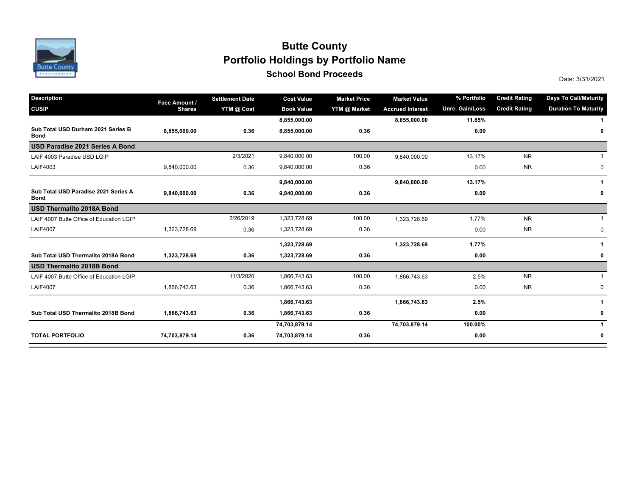

### **School Bond Proceeds School Bond Proceeds Portfolio Holdings by Portfolio Name Butte County**

| <b>Description</b>                                  | Face Amount / | <b>Settlement Date</b> | <b>Cost Value</b> | <b>Market Price</b> | <b>Market Value</b>     | % Portfolio     | <b>Credit Rating</b> | <b>Days To Call/Maturity</b> |
|-----------------------------------------------------|---------------|------------------------|-------------------|---------------------|-------------------------|-----------------|----------------------|------------------------------|
| <b>CUSIP</b>                                        | <b>Shares</b> | YTM @ Cost             | <b>Book Value</b> | YTM @ Market        | <b>Accrued Interest</b> | Unre. Gain/Loss | <b>Credit Rating</b> | <b>Duration To Maturity</b>  |
|                                                     |               |                        | 8,855,000.00      |                     | 8,855,000.00            | 11.85%          |                      |                              |
| Sub Total USD Durham 2021 Series B<br><b>Bond</b>   | 8,855,000.00  | 0.36                   | 8,855,000.00      | 0.36                |                         | 0.00            |                      | 0                            |
| USD Paradise 2021 Series A Bond                     |               |                        |                   |                     |                         |                 |                      |                              |
| LAIF 4003 Paradise USD LGIP                         |               | 2/3/2021               | 9,840,000.00      | 100.00              | 9,840,000.00            | 13.17%          | <b>NR</b>            |                              |
| LAIF4003                                            | 9,840,000.00  | 0.36                   | 9,840,000.00      | 0.36                |                         | 0.00            | <b>NR</b>            | 0                            |
|                                                     |               |                        | 9,840,000.00      |                     | 9,840,000.00            | 13.17%          |                      | -1                           |
| Sub Total USD Paradise 2021 Series A<br><b>Bond</b> | 9,840,000.00  | 0.36                   | 9,840,000.00      | 0.36                |                         | 0.00            |                      | 0                            |
| <b>USD Thermalito 2018A Bond</b>                    |               |                        |                   |                     |                         |                 |                      |                              |
| LAIF 4007 Butte Office of Education LGIP            |               | 2/26/2019              | 1,323,728.69      | 100.00              | 1,323,728.69            | 1.77%           | <b>NR</b>            |                              |
| <b>LAIF4007</b>                                     | 1,323,728.69  | 0.36                   | 1,323,728.69      | 0.36                |                         | 0.00            | <b>NR</b>            | $\mathbf 0$                  |
|                                                     |               |                        | 1,323,728.69      |                     | 1,323,728.69            | 1.77%           |                      | 1                            |
| Sub Total USD Thermalito 2018A Bond                 | 1,323,728.69  | 0.36                   | 1,323,728.69      | 0.36                |                         | 0.00            |                      | 0                            |
| <b>USD Thermalito 2018B Bond</b>                    |               |                        |                   |                     |                         |                 |                      |                              |
| LAIF 4007 Butte Office of Education LGIP            |               | 11/3/2020              | 1,866,743.63      | 100.00              | 1,866,743.63            | 2.5%            | <b>NR</b>            |                              |
| <b>LAIF4007</b>                                     | 1,866,743.63  | 0.36                   | 1,866,743.63      | 0.36                |                         | 0.00            | <b>NR</b>            | 0                            |
|                                                     |               |                        | 1,866,743.63      |                     | 1,866,743.63            | 2.5%            |                      |                              |
| Sub Total USD Thermalito 2018B Bond                 | 1,866,743.63  | 0.36                   | 1,866,743.63      | 0.36                |                         | 0.00            |                      | 0                            |
|                                                     |               |                        | 74,703,879.14     |                     | 74,703,879.14           | 100.00%         |                      | $\mathbf 1$                  |
| <b>TOTAL PORTFOLIO</b>                              | 74,703,879.14 | 0.36                   | 74,703,879.14     | 0.36                |                         | 0.00            |                      | 0                            |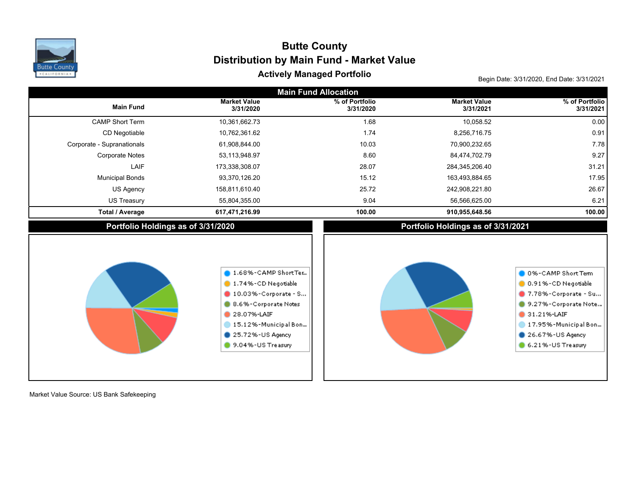

# Begin Date: 3/31/2020, End Date: 3/31/2021 **Actively Managed Portfolio Distribution by Main Fund - Market Value Butte County**

| <b>Main Fund Allocation</b>        |                                                                                                                                                                                           |                             |                                    |                                                                                                                                                                             |  |  |  |  |  |
|------------------------------------|-------------------------------------------------------------------------------------------------------------------------------------------------------------------------------------------|-----------------------------|------------------------------------|-----------------------------------------------------------------------------------------------------------------------------------------------------------------------------|--|--|--|--|--|
| <b>Main Fund</b>                   | <b>Market Value</b><br>3/31/2020                                                                                                                                                          | % of Portfolio<br>3/31/2020 | <b>Market Value</b><br>3/31/2021   | % of Portfolio<br>3/31/2021                                                                                                                                                 |  |  |  |  |  |
| <b>CAMP Short Term</b>             | 10,361,662.73                                                                                                                                                                             | 1.68                        | 10,058.52                          | 0.00                                                                                                                                                                        |  |  |  |  |  |
| CD Negotiable                      | 10,762,361.62                                                                                                                                                                             | 1.74                        | 8,256,716.75                       | 0.91                                                                                                                                                                        |  |  |  |  |  |
| Corporate - Supranationals         | 61,908,844.00                                                                                                                                                                             | 10.03                       | 70,900,232.65                      | 7.78                                                                                                                                                                        |  |  |  |  |  |
| <b>Corporate Notes</b>             | 53,113,948.97                                                                                                                                                                             | 8.60                        | 84,474,702.79                      | 9.27                                                                                                                                                                        |  |  |  |  |  |
| LAIF                               | 173,338,308.07                                                                                                                                                                            | 28.07                       | 284,345,206.40                     | 31.21                                                                                                                                                                       |  |  |  |  |  |
| <b>Municipal Bonds</b>             | 93,370,126.20                                                                                                                                                                             | 15.12                       | 163,493,884.65                     | 17.95                                                                                                                                                                       |  |  |  |  |  |
| US Agency                          | 158,811,610.40                                                                                                                                                                            | 25.72                       | 242,908,221.80                     | 26.67                                                                                                                                                                       |  |  |  |  |  |
| US Treasury                        | 55,804,355.00                                                                                                                                                                             | 9.04                        | 56,566,625.00                      | 6.21                                                                                                                                                                        |  |  |  |  |  |
| <b>Total / Average</b>             | 617,471,216.99                                                                                                                                                                            | 100.00                      | 910,955,648.56                     | 100.00                                                                                                                                                                      |  |  |  |  |  |
| Portfolio Holdings as of 3/31/2020 |                                                                                                                                                                                           |                             | Portfolio Holdings as of 3/31/2021 |                                                                                                                                                                             |  |  |  |  |  |
|                                    | 1.68%-CAMP ShortTer<br>1.74%-CD Negotiable<br>$\blacksquare$ 10.03%-Corporate - S<br>8.6%-Corporate Notes<br>28.07%-LAIF<br>15.12%-Municipal Bon<br>25.72%-US Agency<br>9.04%-US Treasury |                             |                                    | 0 0%-CAMP Short Term<br>0.91%-CD Negotiable<br>7.78%-Corporate - Su<br>9.27%-Corporate Note<br>31.21%-LAIF<br>17.95%-Municipal Bon<br>26.67%-US Agency<br>6.21%-US Treasury |  |  |  |  |  |

Market Value Source: US Bank Safekeeping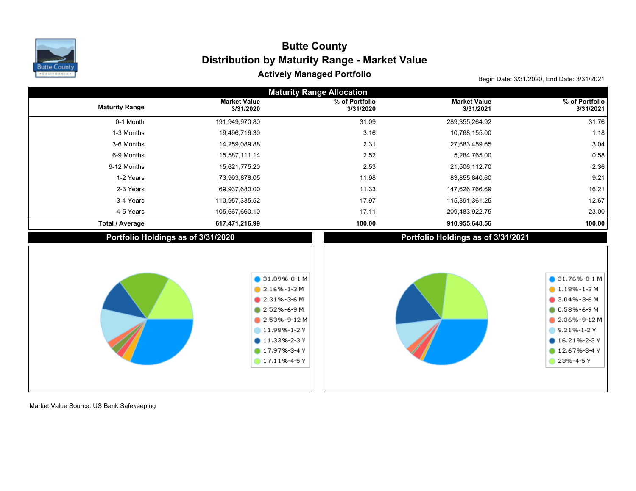

## Begin Date: 3/31/2020, End Date: 3/31/2021 **Actively Managed Portfolio Distribution by Maturity Range - Market Value Butte County**

| <b>Maturity Range Allocation</b>   |                                                                                                                                                                                         |                             |                                    |                                                                                                                                                                        |  |  |  |  |  |
|------------------------------------|-----------------------------------------------------------------------------------------------------------------------------------------------------------------------------------------|-----------------------------|------------------------------------|------------------------------------------------------------------------------------------------------------------------------------------------------------------------|--|--|--|--|--|
| <b>Maturity Range</b>              | <b>Market Value</b><br>3/31/2020                                                                                                                                                        | % of Portfolio<br>3/31/2020 | <b>Market Value</b><br>3/31/2021   | % of Portfolio<br>3/31/2021                                                                                                                                            |  |  |  |  |  |
| 0-1 Month                          | 191,949,970.80                                                                                                                                                                          | 31.09                       | 289,355,264.92                     | 31.76                                                                                                                                                                  |  |  |  |  |  |
| 1-3 Months                         | 19,496,716.30                                                                                                                                                                           | 3.16                        | 10,768,155.00                      | 1.18                                                                                                                                                                   |  |  |  |  |  |
| 3-6 Months                         | 14,259,089.88                                                                                                                                                                           | 2.31                        | 27,683,459.65                      | 3.04                                                                                                                                                                   |  |  |  |  |  |
| 6-9 Months                         | 15,587,111.14                                                                                                                                                                           | 2.52                        | 5,284,765.00                       | 0.58                                                                                                                                                                   |  |  |  |  |  |
| 9-12 Months                        | 15,621,775.20                                                                                                                                                                           | 2.53                        | 21,506,112.70                      | 2.36                                                                                                                                                                   |  |  |  |  |  |
| 1-2 Years                          | 73,993,878.05                                                                                                                                                                           | 11.98                       | 83,855,840.60                      | 9.21                                                                                                                                                                   |  |  |  |  |  |
| 2-3 Years                          | 69,937,680.00                                                                                                                                                                           | 11.33                       | 147,626,766.69                     | 16.21                                                                                                                                                                  |  |  |  |  |  |
| 3-4 Years                          | 110,957,335.52                                                                                                                                                                          | 17.97                       | 115,391,361.25                     | 12.67                                                                                                                                                                  |  |  |  |  |  |
| 4-5 Years                          | 105,667,660.10                                                                                                                                                                          | 17.11                       | 209,483,922.75                     | 23.00                                                                                                                                                                  |  |  |  |  |  |
| <b>Total / Average</b>             | 617,471,216.99                                                                                                                                                                          | 100.00                      | 910,955,648.56                     | 100.00                                                                                                                                                                 |  |  |  |  |  |
| Portfolio Holdings as of 3/31/2020 |                                                                                                                                                                                         |                             | Portfolio Holdings as of 3/31/2021 |                                                                                                                                                                        |  |  |  |  |  |
|                                    | $\bigcirc$ 31.09%-0-1 M<br>$3.16\% - 1 - 3$ M<br>$2.31\% - 3 - 6M$<br>2.52%-6-9 M<br>$2.53\% - 9 - 12M$<br>11.98%-1-2Y<br>$11.33\% - 2 - 3$ Y<br>17.97%-3-4 Y<br>$\bullet$ 17.11%-4-5 Y |                             |                                    | $\bullet$ 31.76%-0-1 M<br>$1.18\% - 1-3M$<br>$$3.04\% - 3 - 6 M$$<br>$0.58\% - 6 - 9M$<br>2.36%-9-12M<br>9.21%-1-2Y<br>$016.21\% - 2 - 3V$<br>12.67%-3-4 Y<br>23%-4-5Y |  |  |  |  |  |

Market Value Source: US Bank Safekeeping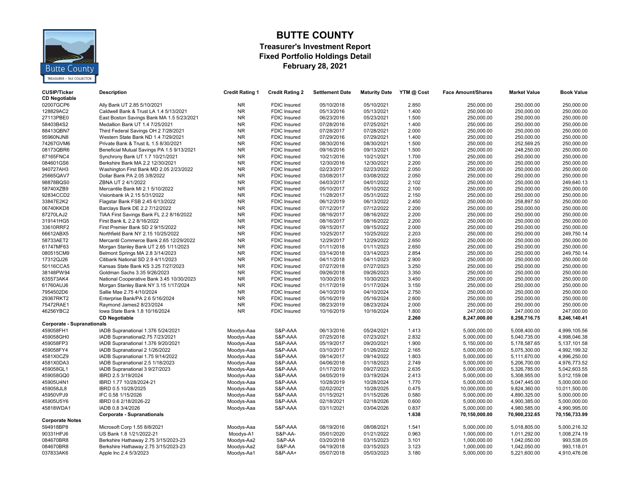

#### **BUTTE COUNTY Treasurer's Investment Report Fixed Portfolio Holdings Detail February 28, 2021**

| <b>CUSIP/Ticker</b><br><b>CD Negotiable</b> | <b>Description</b>                                                     | <b>Credit Rating 1</b>   | <b>Credit Rating 2</b> | <b>Settlement Date</b>   | <b>Maturity Date</b>     | YTM @ Cost     | <b>Face Amount/Shares</b>    | <b>Market Value</b>          | <b>Book Value</b>            |
|---------------------------------------------|------------------------------------------------------------------------|--------------------------|------------------------|--------------------------|--------------------------|----------------|------------------------------|------------------------------|------------------------------|
| 02007GCP6                                   | Ally Bank UT 2.85 5/10/2021                                            | NR                       | <b>FDIC Insured</b>    | 05/10/2018               | 05/10/2021               | 2.850          | 250,000.00                   | 250,000.00                   | 250,000.00                   |
| 128829AC2                                   | Caldwell Bank & Trust LA 1.4 5/13/2021                                 | <b>NR</b>                | <b>FDIC</b> Insured    | 05/13/2016               | 05/13/2021               | 1.400          | 250,000.00                   | 250,000.00                   | 250,000.00                   |
| 27113PBE0                                   | East Boston Savings Bank MA 1.5 5/23/2021                              | <b>NR</b>                | <b>FDIC Insured</b>    | 06/23/2016               | 05/23/2021               | 1.500          | 250,000.00                   | 250,000.00                   | 250,000.00                   |
| 58403B4S2                                   | Medallion Bank UT 1.4 7/25/2021                                        | <b>NR</b>                | <b>FDIC Insured</b>    | 07/28/2016               | 07/25/2021               | 1.400          | 250,000.00                   | 250,000.00                   | 250,000.00                   |
| 88413QBN7                                   | Third Federal Savings OH 2 7/28/2021                                   | <b>NR</b>                | FDIC Insured           | 07/28/2017               | 07/28/2021               | 2.000          | 250,000.00                   | 250,000.00                   | 250,000.00                   |
| 95960NJN8                                   | Western State Bank ND 1.4 7/29/2021                                    | <b>NR</b>                | <b>FDIC</b> Insured    | 07/29/2016               | 07/29/2021               | 1.400          | 250,000.00                   | 250,000.00                   | 250,000.00                   |
| 74267GVM6                                   | Private Bank & Trust IL 1.5 8/30/2021                                  | <b>NR</b>                | <b>FDIC Insured</b>    | 08/30/2016               | 08/30/2021               | 1.500          | 250,000.00                   | 252,569.25                   | 250,000.00                   |
| 08173QBR6                                   | Beneficial Mutual Savings PA 1.5 9/13/2021                             | NR.                      | <b>FDIC Insured</b>    | 09/16/2016               | 09/13/2021               | 1.500          | 250,000.00                   | 248,250.00                   | 250,000.00                   |
| 87165FNC4                                   | Synchrony Bank UT 1.7 10/21/2021                                       | <b>NR</b>                | FDIC Insured           | 10/21/2016               | 10/21/2021               | 1.700          | 250,000.00                   | 250,000.00                   | 250,000.00                   |
| 084601GS6                                   | Berkshire Bank MA 2.2 12/30/2021                                       | <b>NR</b>                | <b>FDIC Insured</b>    | 12/30/2016               | 12/30/2021               | 2.200          | 250,000.00                   | 250,000.00                   | 250,000.00                   |
| 940727AH3                                   | Washington First Bank MD 2.05 2/23/2022                                | NR.                      | <b>FDIC Insured</b>    | 02/23/2017               | 02/23/2022               | 2.050          | 250,000.00                   | 250,000.00                   | 250,000.00                   |
| 25665QAV7                                   | Dollar Bank PA 2.05 3/8/2022                                           | <b>NR</b>                | FDIC Insured           | 03/08/2017               | 03/08/2022               | 2.050          | 250,000.00                   | 250,000.00                   | 250,000.00                   |
| 98878BQS0                                   | ZBNA UT 2 4/1/2022                                                     | <b>NR</b>                | <b>FDIC Insured</b>    | 04/03/2017               | 04/01/2022               | 2.102          | 250,000.00                   | 250,000.00                   | 249,640.13                   |
| 58740XZB9                                   | Mercantile Bank MI 2.1 5/10/2022                                       | <b>NR</b>                | <b>FDIC Insured</b>    | 05/10/2017               | 05/10/2022               | 2.100          | 250,000.00                   | 250,000.00                   | 250,000.00                   |
| 92834CCD2                                   | Visionbank IA 2.15 5/31/2022                                           | NR.                      | <b>FDIC Insured</b>    | 11/28/2017               | 05/31/2022               | 2.150          | 250,000.00                   | 250,000.00                   | 250,000.00                   |
| 33847E2K2                                   | Flagstar Bank FSB 2.45 6/13/2022                                       | NR.                      | <b>FDIC Insured</b>    | 06/12/2019               | 06/13/2022               | 2.450          | 250,000.00                   | 258,897.50                   | 250,000.00                   |
| 06740KKD8                                   | Barclays Bank DE 2.2 7/12/2022                                         | <b>NR</b>                | <b>FDIC Insured</b>    | 07/12/2017               | 07/12/2022               | 2.200          | 250,000.00                   | 250,000.00                   | 250,000.00                   |
| 87270LAJ2                                   | TIAA First Savings Bank FL 2.2 8/16/2022                               | <b>NR</b>                | <b>FDIC Insured</b>    | 08/16/2017               | 08/16/2022               | 2.200          | 250,000.00                   | 250,000.00                   | 250,000.00                   |
| 319141HG5                                   | First Bank IL 2.2 8/16/2022                                            | <b>NR</b>                | <b>FDIC Insured</b>    | 08/16/2017               | 08/16/2022               | 2.200          | 250,000.00                   | 250,000.00                   | 250,000.00                   |
| 33610RRF2                                   | First Premier Bank SD 2 9/15/2022                                      | <b>NR</b>                | <b>FDIC Insured</b>    | 09/15/2017               | 09/15/2022               | 2.000          | 250,000.00                   | 250,000.00                   | 250,000.00                   |
| 66612ABX5                                   | Northfield Bank NY 2.15 10/25/2022                                     | NR.                      | FDIC Insured           | 10/25/2017               | 10/25/2022               | 2.203          | 250,000.00                   | 250,000.00                   | 249,750.14                   |
| 58733AET2                                   | Mercantil Commerce Bank 2.65 12/29/2022                                | <b>NR</b>                | <b>FDIC Insured</b>    | 12/29/2017               | 12/29/2022               | 2.650          | 250,000.00                   | 250,000.00                   | 250,000.00                   |
| 61747MF63                                   |                                                                        | <b>NR</b>                | <b>FDIC Insured</b>    |                          |                          | 2.650          | 250,000.00                   | 250,000.00                   | 250,000.00                   |
| 080515CM9                                   | Morgan Stanley Bank UT 2.65 1/11/2023                                  | NR.                      | <b>FDIC Insured</b>    | 01/11/2018<br>03/14/2018 | 01/11/2023<br>03/14/2023 | 2.854          | 250,000.00                   | 250,000.00                   | 249,750.14                   |
| 17312QJ26                                   | Belmont Springs MA 2.8 3/14/2023                                       | <b>NR</b>                |                        |                          |                          | 2.900          |                              |                              |                              |
| 50116CCA5                                   | Citibank National SD 2.9 4/11/2023                                     | <b>NR</b>                | <b>FDIC Insured</b>    | 04/11/2018               | 04/11/2023               | 3.250          | 250,000.00<br>250,000.00     | 250,000.00<br>250,000.00     | 250,000.00<br>250,000.00     |
|                                             | Kansas State Bank KS 3.25 7/27/2023                                    | NR                       | <b>FDIC Insured</b>    | 07/27/2018               | 07/27/2023               |                |                              |                              |                              |
| 38148PW94                                   | Goldman Sachs 3.35 9/26/2023                                           | NR.                      | <b>FDIC Insured</b>    | 09/26/2018               | 09/26/2023               | 3.350<br>3.450 | 250,000.00                   | 250,000.00                   | 250,000.00                   |
| 635573AK4                                   | National Cooperative Bank 3.45 10/30/2023                              | <b>NR</b>                | <b>FDIC Insured</b>    | 10/30/2018               | 10/30/2023               | 3.150          | 250,000.00                   | 250,000.00<br>250,000.00     | 250,000.00                   |
| 61760AUJ6                                   | Morgan Stanley Bank NY 3.15 1/17/2024                                  | <b>NR</b>                | FDIC Insured           | 01/17/2019               | 01/17/2024               | 2.750          | 250,000.00                   |                              | 250,000.00                   |
| 7954502D6                                   | Sallie Mae 2.75 4/10/2024                                              | <b>NR</b>                | <b>FDIC Insured</b>    | 04/10/2019               | 04/10/2024               |                | 250,000.00                   | 250,000.00                   | 250,000.00                   |
| 29367RKT2                                   | Enterprise Bank/PA 2.6 5/16/2024                                       |                          | <b>FDIC</b> Insured    | 05/16/2019               | 05/16/2024               | 2.600          | 250.000.00                   | 250,000.00                   | 250.000.00                   |
| 75472RAE1<br>46256YBC2                      | Raymond James2 8/23/2024                                               | <b>NR</b><br><b>NR</b>   | FDIC Insured           | 08/23/2019<br>10/16/2019 | 08/23/2024<br>10/16/2024 | 2.000<br>1.800 | 250,000.00                   | 250,000.00<br>247,000.00     | 250,000.00<br>247,000.00     |
|                                             | lowa State Bank 1.8 10/16/2024                                         |                          | <b>FDIC Insured</b>    |                          |                          |                | 247,000.00                   |                              |                              |
| <b>Corporate - Supranationals</b>           | <b>CD Negotiable</b>                                                   |                          |                        |                          |                          | 2.260          | 8,247,000.00                 | 8,256,716.75                 | 8,246,140.41                 |
|                                             |                                                                        |                          | S&P-AAA                | 06/13/2016               | 05/24/2021               |                |                              | 5,008,400.00                 |                              |
| 459058FH1<br>459058GH0                      | IADB Supranational 1.376 5/24/2021<br>IADB Supranational2.75 7/23/2021 | Moodys-Aaa               | S&P-AAA                | 07/25/2018               | 07/23/2021               | 1.413<br>2.832 | 5,000,000.00<br>5,000,000.00 | 5,040,735.00                 | 4,999,105.56<br>4,998,046.38 |
| 459058FP3                                   | IADB Supranational 1.376 9/20/2021                                     | Moodys-Aaa               | S&P-AAA                | 05/19/2017               | 09/20/2021               | 1.900          |                              | 5,178,587.65                 | 5,137,101.58                 |
|                                             |                                                                        | Moodys-Aaa               |                        |                          |                          | 2.165          | 5,150,000.00                 |                              |                              |
| 459058FY4                                   | IADB Supranational 2 1/26/2022                                         | Moodys-Aaa               | S&P-AAA                | 03/10/2017               | 01/26/2022               |                | 5,000,000.00                 | 5,075,300.00                 | 4,992,199.32                 |
| 4581X0CZ9                                   | IADB Supranational 1.75 9/14/2022                                      | Moodys-Aaa               | S&P-AAA                | 09/14/2017               | 09/14/2022               | 1.803<br>2.749 | 5,000,000.00                 | 5,111,670.00                 | 4,996,250.00<br>4,976,773.52 |
| 4581X0DA3<br>459058GL1                      | IADB Supranational 2.5 1/18/2023<br>IADB Supranational 3 9/27/2023     | Moodys-Aaa<br>Moodys-Aaa | S&P-AAA<br>S&P-AAA     | 04/06/2018<br>01/17/2019 | 01/18/2023<br>09/27/2023 | 2.635          | 5,000,000.00<br>5,000,000.00 | 5,206,700.00<br>5,326,785.00 | 5,042,603.55                 |
|                                             |                                                                        |                          |                        |                          |                          | 2.413          |                              |                              | 5,012,159.08                 |
| 459058GQ0                                   | IBRD 2.5 3/19/2024                                                     | Moodys-Aaa               | S&P-AAA<br>S&P-AAA     | 04/05/2019               | 03/19/2024               | 1.770          | 5,000,000.00                 | 5,308,955.00                 |                              |
| 45905U4N1                                   | IBRD 1.77 10/28/2024-21                                                | Moodys-Aaa               |                        | 10/28/2019               | 10/28/2024               |                | 5,000,000.00                 | 5,047,445.00                 | 5,000,000.00                 |
| 459058JL8                                   | IBRD 0.5 10/28/2025                                                    | Moodys-Aaa               | S&P-AAA                | 02/02/2021               | 10/28/2025               | 0.475          | 10,000,000.00                | 9,824,360.00                 | 10,011,500.00                |
| 45950VPJ9                                   | IFC 0.58 1/15/2026                                                     | Moodys-Aaa               | S&P-AAA                | 01/15/2021               | 01/15/2026               | 0.580          | 5,000,000.00                 | 4,890,325.00                 | 5,000,000.00                 |
| 45905U5Y6                                   | IBRD 0.6 2/18/2026-22                                                  | Moodys-Aaa               | S&P-AAA                | 02/18/2021               | 02/18/2026               | 0.600          | 5,000,000.00                 | 4,900,385.00                 | 5,000,000.00                 |
| 45818WDA1                                   | IADB 0.8 3/4/2026                                                      | Moodys-Aaa               | S&P-AAA                | 03/11/2021               | 03/04/2026               | 0.837          | 5,000,000.00                 | 4,980,585.00                 | 4,990,995.00                 |
|                                             | <b>Corporate - Supranationals</b>                                      |                          |                        |                          |                          | 1.638          | 70,150,000.00                | 70,900,232.65                | 70,156,733.99                |
| <b>Corporate Notes</b>                      |                                                                        |                          | S&P-AAA                |                          |                          | 1.541          |                              |                              |                              |
| 594918BP8                                   | Microsoft Corp 1.55 8/8/2021                                           | Moodys-Aaa               |                        | 08/19/2016               | 08/08/2021               |                | 5,000,000.00                 | 5,018,805.00                 | 5,000,216.32                 |
| 90331HPJ6                                   | US Bank 1.8 1/21/2022-21                                               | Moodys-A1                | S&P-AA-                | 05/01/2020               | 01/21/2022               | 0.963          | 1,000,000.00                 | 1,011,292.00                 | 1,008,274.19                 |
| 084670BR8                                   | Berkshire Hathaway 2.75 3/15/2023-23                                   | Moodys-Aa2               | S&P-AA                 | 03/20/2018               | 03/15/2023               | 3.101          | 1,000,000.00                 | 1,042,050.00                 | 993,538.05                   |
| 084670BR8                                   | Berkshire Hathaway 2.75 3/15/2023-23                                   | Moodys-Aa2               | S&P-AA                 | 04/19/2018               | 03/15/2023               | 3.123          | 1,000,000.00                 | 1,042,050.00                 | 993,118.01                   |
| 037833AK6                                   | Apple Inc 2.4 5/3/2023                                                 | Moodys-Aa1               | <b>S&amp;P-AA+</b>     | 05/07/2018               | 05/03/2023               | 3.180          | 5,000,000.00                 | 5,221,600.00                 | 4,910,476.06                 |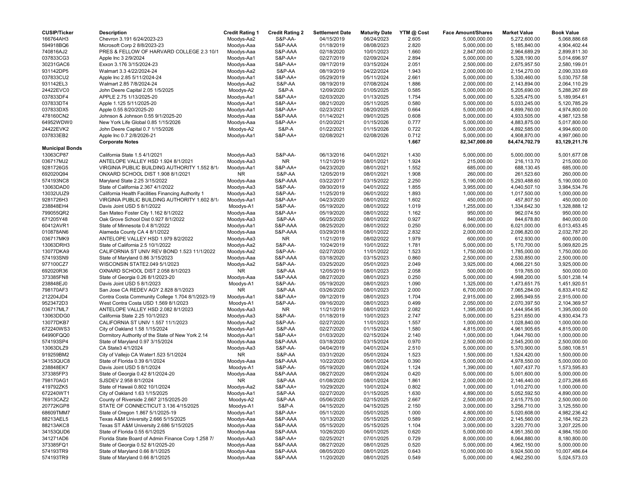| <b>CUSIP/Ticker</b>    | <b>Description</b>                                 | <b>Credit Rating 1</b> | <b>Credit Rating 2</b> | <b>Settlement Date</b>   | <b>Maturity Date</b> | YTM @ Cost | <b>Face Amount/Shares</b> | <b>Market Value</b>          | <b>Book Value</b> |
|------------------------|----------------------------------------------------|------------------------|------------------------|--------------------------|----------------------|------------|---------------------------|------------------------------|-------------------|
| 166764AH3              | Chevron 3.191 6/24/2023-23                         | Moodys-Aa2             | S&P-AA-                | 04/15/2019               | 06/24/2023           | 2.605      | 5,000,000.00              | 5,272,600.00                 | 5,068,886.68      |
| 594918BQ6              | Microsoft Corp 2 8/8/2023-23                       | Moodys-Aaa             | S&P-AAA                | 01/18/2019               | 08/08/2023           | 2.820      | 5,000,000.00              | 5,185,840.00                 | 4,904,402.44      |
| 740816AJ2              | PRES & FELLOW OF HARVARD COLLEGE 2.3 10/1          | Moodys-Aaa             | S&P-AAA                | 02/18/2020               | 10/01/2023           | 1.660      | 2,847,000.00              | 2,964,689.29                 | 2,899,811.30      |
| 037833CG3              | Apple Inc 3 2/9/2024                               | Moodys-Aa1             | <b>S&amp;P-AA+</b>     | 02/27/2019               | 02/09/2024           | 2.894      | 5,000,000.00              | 5,328,190.00                 | 5,014,696.97      |
| 30231GAC6              | Exxon 3.176 3/15/2024-23                           | Moodys-Aaa             | <b>S&amp;P-AA+</b>     | 09/17/2019               | 03/15/2024           | 2.051      | 2,500,000.00              | 2,675,957.50                 | 2,580,199.01      |
| 931142DP5              | Walmart 3.3 4/22/2024-24                           | Moodys-Aa2             | S&P-AA                 | 08/19/2019               | 04/22/2024           | 1.943      | 2,000,000.00              | 2,154,270.00                 | 2,090,333.69      |
| 037833CU2              | Apple Inc 2.85 5/11/2024-24                        | Moodys-Aa1             | <b>S&amp;P-AA+</b>     | 05/29/2019               | 05/11/2024           | 2.661      | 5,000,000.00              | 5,330,460.00                 | 5,030,757.58      |
| 931142EL3              | Walmart 2.85 7/8/2024-24                           | Moodys-Aa2             | S&P-AA                 | 08/19/2019               | 07/08/2024           | 1.886      | 2,000,000.00              | 2,143,894.00                 | 2,064,110.29      |
| 24422EVC0              | John Deere Capital 2.05 1/5/2025                   | Moodys-A2              | S&P-A                  | 12/09/2020               | 01/05/2025           | 0.585      | 5,000,000.00              | 5,205,690.00                 | 5,288,267.69      |
| 037833DF4              | APPLE 2.75 1/13/2025-20                            | Moodys-Aa1             | S&P-AA+                | 02/03/2020               | 01/13/2025           | 1.754      | 5,000,000.00              | 5,325,475.00                 | 5,189,954.61      |
| 037833DT4              | Apple 1.125 5/11/2025-20                           | Moodys-Aa1             | <b>S&amp;P-AA+</b>     | 08/21/2020               | 05/11/2025           | 0.580      | 5,000,000.00              | 5,033,245.00                 | 5,120,785.29      |
| 037833DX5              | Apple 0.55 8/20/2025-20                            | Moodys-Aa1             | S&P-AA+                | 02/23/2021               | 08/20/2025           | 0.664      | 5,000,000.00              | 4,899,760.00                 | 4,974,800.00      |
| 478160CN2              | Johnson & Johnson 0.55 9/1/2025-20                 | Moodys-Aaa             | S&P-AAA                | 01/14/2021               | 09/01/2025           | 0.608      | 5,000,000.00              | 4,933,505.00                 | 4,987,123.58      |
| 64952WDW0              | New York Life Global 0.85 1/15/2026                | Moodys-Aaa             | S&P-AA+                | 01/20/2021               | 01/15/2026           | 0.777      | 5,000,000.00              | 4,883,875.00                 | 5,017,800.00      |
| 24422EVK2              | John Deere Capital 0.7 1/15/2026                   | Moodys-A2              | <b>S&amp;P-A</b>       | 01/22/2021               | 01/15/2026           | 0.722      | 5,000,000.00              | 4,892,585.00                 | 4,994,600.00      |
| 037833EB2              | Apple Inc 0.7 2/8/2026-21                          | Moodys-Aa1             | S&P-AA+                | 02/08/2021               | 02/08/2026           | 0.712      | 5,000,000.00              | 4,908,870.00                 | 4,997,060.00      |
|                        | <b>Corporate Notes</b>                             |                        |                        |                          |                      | 1.667      | 82,347,000.00             | 84,474,702.79                | 83,129,211.76     |
| <b>Municipal Bonds</b> |                                                    |                        |                        |                          |                      |            |                           |                              |                   |
| 13063CP87              | California State 1.5 4/1/2021                      | Moodys-Aa3             | S&P-AA-                | 06/13/2016               | 04/01/2021           | 1.430      | 5,000,000.00              | 5,000,000.00                 | 5,001,677.08      |
| 036717MJ2              | ANTELOPE VALLEY HSD 1.924 8/1/2021                 | Moodys-Aa3             | <b>NR</b>              | 11/21/2019               | 08/01/2021           | 1.924      | 215,000.00                | 216,113.70                   | 215,000.00        |
| 9281726G5              | VIRGINIA PUBLIC BUILDING AUTHORITY 1.552 8/1/      | Moodys-Aa1             | <b>S&amp;P-AA+</b>     | 04/23/2020               | 08/01/2021           | 1.552      | 685,000.00                | 688,130.45                   | 685,000.00        |
| 692020Q94              | ONXARD SCHOOL DIST 1.908 8/1/2021                  | <b>NR</b>              | S&P-AA                 | 12/05/2019               | 08/01/2021           | 1.908      | 260,000.00                | 261,523.60                   | 260,000.00        |
| 574193NC8              | Maryland State 2.25 3/15/2022                      | Moodys-Aaa             | S&P-AAA                | 03/22/2017               | 03/15/2022           | 2.250      | 5,190,000.00              | 5,293,488.60                 | 5,190,000.00      |
| 13063DAD0              | State of California 2.367 4/1/2022                 | Moodys-Aa3             | S&P-AA-                | 09/30/2019               | 04/01/2022           | 1.855      | 3,955,000.00              | 4,040,507.10                 | 3,984,534.76      |
|                        | California Health Facilities Financing Authority 1 |                        |                        |                          | 06/01/2022           |            |                           |                              |                   |
| 13032UUZ9              |                                                    | Moodys-Aa3             | S&P-AA-                | 11/25/2019               |                      | 1.893      | 1,000,000.00              | 1,017,500.00                 | 1,000,000.00      |
| 9281726H3              | VIRGINIA PUBLIC BUILDING AUTHORITY 1.602 8/1/      | Moodys-Aa1             | S&P-AA+                | 04/23/2020               | 08/01/2022           | 1.602      | 450,000.00                | 457,807.50                   | 450,000.00        |
| 238848EH4              | Davis Joint USD 5 8/1/2022                         | Moodys-A1              | S&P-AA-                | 05/19/2020               | 08/01/2022           | 1.019      | 1,255,000.00              | 1,334,642.30                 | 1,328,888.12      |
| 799055QR2              | San Mateo Foster City 1.162 8/1/2022               | Moodys-Aaa             | S&P-AA+                | 05/19/2020               | 08/01/2022           | 1.162      | 950,000.00                | 962,074.50                   | 950,000.00        |
| 671205Y48              | Oak Grove School Dist 0.927 8/1/2022               | Moodys-Aa3             | S&P-AA                 | 06/25/2020               | 08/01/2022           | 0.927      | 840,000.00                | 844,678.80                   | 840,000.00        |
| 60412AVR1              | State of Minnesota 0.4 8/1/2022                    | Moodys-Aa1             | S&P-AAA                | 08/25/2020               | 08/01/2022           | 0.250      | 6,000,000.00              | 6,021,000.00                 | 6,013,453.45      |
| 010878AN6              | Alameda County CA 4 8/1/2022                       | Moodys-Aaa             | S&P-AAA                | 03/29/2018               | 08/01/2022           | 2.832      | 2,000,000.00              | 2,096,820.00                 | 2,032,787.20      |
| 036717MK9              | ANTELOPE VALLEY HSD 1.979 8/2/2022                 | Moodys-Aa3             | NR                     | 11/21/2019               | 08/02/2022           | 1.979      | 600,000.00                | 612,930.00                   | 600,000.00        |
| 13063DRH3              | State of California 2.5 10/1/2022                  | Moodys-Aa2             | S&P-AA-                | 10/24/2019               | 10/01/2022           | 1.781      | 5,000,000.00              | 5,170,700.00                 | 5,069,820.25      |
| 13077DKA9              | CALIFORNIA ST UNIV REV BOND 1.523 11/1/2022        | Moodys-Aa2             | S&P-AA-                | 02/27/2020               | 11/01/2022           | 1.523      | 1,750,000.00              | 1,785,000.00                 | 1,750,000.00      |
| 574193SN9              | State of Maryland 0.86 3/15/2023                   | Moodys-Aaa             | S&P-AAA                | 03/18/2020               | 03/15/2023           | 0.860      | 2,500,000.00              | 2,530,850.00                 | 2,500,000.00      |
| 977100CZ7              | WISCONSIN STATE2.049 5/1/2023                      | Moodys-Aa2             | S&P-AA-                | 03/25/2020               | 05/01/2023           | 2.049      | 3,925,000.00              | 4,066,221.50                 | 3,925,000.00      |
| 692020R36              | OXNARD SCHOOL DIST 2.058 8/1/2023                  | <b>NR</b>              | S&P-AA                 | 12/05/2019               | 08/01/2023           | 2.058      | 500,000.00                | 519,765.00                   | 500,000.00        |
| 373385FN8              | State of Georgia 0.26 8/1/2023-20                  | Moodys-Aaa             | S&P-AAA                | 08/27/2020               | 08/01/2023           | 0.250      | 5,000,000.00              | 4,998,200.00                 | 5,001,238.14      |
| 238848EJ0              | Davis Joint USD 5 8/1/2023                         | Moodys-A1              | S&P-AA-                | 05/19/2020               | 08/01/2023           | 1.090      | 1,325,000.00              | 1,473,651.75                 | 1,451,920.51      |
| 798170AF3              | San Jose CA REDEV AGY 2.828 8/1/2023               | <b>NR</b>              | S&P-AA                 | 03/26/2020               | 08/01/2023           | 2.000      | 6,700,000.00              | 7,065,284.00                 | 6,833,410.62      |
| 212204JD4              | Contra Costa Community College 1.704 8/1/2023-19   | Moodys-Aa1             | S&P-AA+                | 09/12/2019               | 08/01/2023           | 1.704      | 2,915,000.00              | 2,995,949.55                 | 2,915,000.00      |
| 9523472D3              | West Contra Costa USD 1.569 8/1/2023               | Moodys-A1              | S&P-AA-                | 09/16/2020               | 08/01/2023           | 0.499      | 2,050,000.00              | 2,070,397.50                 | 2,104,369.57      |
| 036717ML7              | ANTELOPE VALLEY HSD 2.082 8/1/2023                 | Moodys-Aa3             | NR.                    | 11/21/2019               | 08/01/2023           | 2.082      | 1,395,000.00              | 1,444,954.95                 | 1,395,000.00      |
| 13063DDG0              | California State 2.25 10/1/2023                    | Moodys-Aa3             | S&P-AA-                | 01/18/2019               | 10/01/2023           | 2.747      | 5,000,000.00              | 5,231,650.00                 | 4,930,434.73      |
| 13077DKB7              | CALIFORNIA ST UNIV 1.557 11/1/2023                 | Moodys-Aa2             | <b>S&amp;P-AA-</b>     | 02/27/2020               | 11/01/2023           | 1.557      | 1,000,000.00              | 1,028,840.00                 | 1,000,000.00      |
| 672240WS3              | City of Oakland 1.58 1/15/2024                     | Moodys-Aa1             | S&P-AA                 | 02/27/2020               | 01/15/2024           | 1.580      | 4,815,000.00              | 4,961,905.65                 | 4,815,000.00      |
| 64990FQQ0              | Dormitory Authority of the State of New York 2.14  | Moodys-Aa1             | S&P-AA+                | 01/03/2020               | 02/15/2024           | 2.140      | 1,000,000.00              | 1,044,760.00                 | 1,000,000.00      |
| 574193SP4              | State of Maryland 0.97 3/15/2024                   | Moodys-Aaa             | S&P-AAA                | 03/18/2020               | 03/15/2024           | 0.970      | 2,500,000.00              | 2,545,200.00                 | 2,500,000.00      |
| 13063DLZ9              | CA State3 4/1/2024                                 | Moodys-Aa3             | S&P-AA-                | 04/04/2019               | 04/01/2024           | 2.510      | 5,000,000.00              | 5,370,900.00                 | 5,080,108.51      |
| 919259BM2              | City of Vallejo CA Water1.523 5/1/2024             | <b>NR</b>              | S&P-AA                 | 03/31/2020               | 05/01/2024           | 1.523      | 1,500,000.00              | 1,524,420.00                 | 1,500,000.00      |
| 34153QUC8              | State of Florida 0.39 6/1/2024                     | Moodys-Aaa             | S&P-AAA                | 10/22/2020               | 06/01/2024           | 0.390      | 5,000,000.00              | 4,978,550.00                 | 5,000,000.00      |
| 238848EK7              | Davis Joint USD 5 8/1/2024                         | Moodys-A1              | S&P-AA-                | 05/19/2020               | 08/01/2024           | 1.124      | 1,390,000.00              | 1,607,437.70                 | 1,573,595.83      |
| 373385FP3              | State of Georgia 0.42 8/1/2024-20                  | Moodys-Aaa             | S&P-AAA                | 08/27/2020               | 08/01/2024           | 0.420      | 5,000,000.00              | 5,001,600.00                 | 5,000,000.00      |
| 798170AG1              | SJSDEV 2.958 8/1/2024                              | NR.                    | S&P-AA                 | 01/08/2020               | 08/01/2024           | 1.861      | 2,000,000.00              | 2,146,440.00                 | 2,073,268.65      |
| 419792ZK5              | State of Hawaii 0.802 10/1/2024                    | Moodys-Aa2             | S&P-AA+                | 10/29/2020               | 10/01/2024           | 0.802      | 1,000,000.00              | 1,010,270.00                 | 1,000,000.00      |
| 672240WT1              | City of Oakland 1.63 1/15/2025                     | Moodys-Aa1             | S&P-AA                 | 02/27/2020               | 01/15/2025           | 1.630      | 4,890,000.00              | 5,052,592.50                 | 4,890,000.00      |
| 76913CAZ2              | County of Riverside 2.667 2/15/2025-20             | Moodys-A2              | S&P-AA                 | 05/06/2020               | 02/15/2025           | 2.667      | 2,500,000.00              | 2,615,775.00                 | 2,500,000.00      |
| 20772KGP8              | STATE OF CONNECTICUT 3.136 4/15/2025               | Moodys-A1              | S&P-A                  | 04/15/2020               | 04/15/2025           | 2.150      | 3,000,000.00              | 3,256,710.00                 | 3,125,550.00      |
| 68609TMM7              | State of Oregon 1.867 5/1/2025-19                  | Moodys-Aa1             | S&P-AA+                | 05/11/2020               | 05/01/2025           | 1.000      | 4,800,000.00              | 5,020,608.00                 | 4,982,236.42      |
| 88213AEL5              | Texas A&M University 2.666 5/15/2025               | Moodys-Aaa             | S&P-AAA                | 10/13/2020               | 05/15/2025           | 0.589      | 2,000,000.00              | 2,145,560.00                 | 2,184,162.23      |
| 88213AKC8              | Texas ST A&M University 2.686 5/15/2025            | Moodys-Aaa             | S&P-AAA                | 05/15/2020               | 05/15/2025           | 1.104      |                           | 3,220,770.00                 | 3,207,225.00      |
|                        | State of Florida 0.55 6/1/2025                     | Moodys-Aaa             |                        |                          | 06/01/2025           |            | 3,000,000.00              |                              | 4,984,150.00      |
| 34153QUD6              | Florida State Board of Admin Finance Corp 1.258 7/ |                        | S&P-AAA                | 10/26/2020<br>02/25/2021 |                      | 0.620      | 5,000,000.00              | 4,951,350.00<br>8,064,880.00 |                   |
| 341271AD6              |                                                    | Moodys-Aa3             | S&P-AA+                |                          | 07/01/2025           | 0.729      | 8,000,000.00              |                              | 8,180,800.00      |
| 373385FQ1              | State of Georgia 0.52 8/1/2025-20                  | Moodys-Aaa             | S&P-AAA                | 08/27/2020               | 08/01/2025           | 0.520      | 5,000,000.00              | 4,962,150.00                 | 5,000,000.00      |
| 574193TR9              | State of Maryland 0.66 8/1/2025                    | Moodys-Aaa             | S&P-AAA                | 08/05/2020               | 08/01/2025           | 0.643      | 10,000,000.00             | 9,924,500.00                 | 10,007,486.64     |
| 574193TR9              | State of Maryland 0.66 8/1/2025                    | Moodys-Aaa             | S&P-AAA                | 11/20/2020               | 08/01/2025           | 0.549      | 5,000,000.00              | 4,962,250.00                 | 5,024,573.03      |